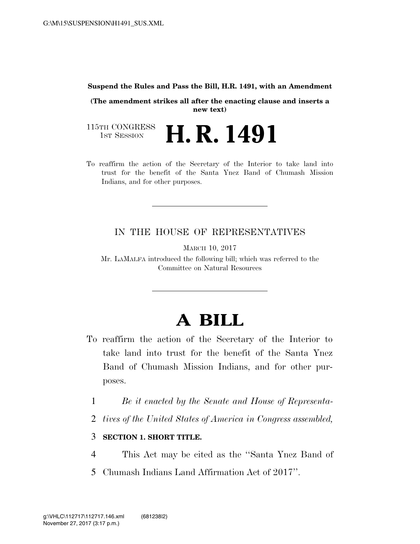#### **Suspend the Rules and Pass the Bill, H.R. 1491, with an Amendment**

**(The amendment strikes all after the enacting clause and inserts a new text)** 

115TH CONGRESS<br>1st Session H. R. 1491

To reaffirm the action of the Secretary of the Interior to take land into trust for the benefit of the Santa Ynez Band of Chumash Mission Indians, and for other purposes.

### IN THE HOUSE OF REPRESENTATIVES

MARCH 10, 2017

Mr. LAMALFA introduced the following bill; which was referred to the Committee on Natural Resources

# **A BILL**

- To reaffirm the action of the Secretary of the Interior to take land into trust for the benefit of the Santa Ynez Band of Chumash Mission Indians, and for other purposes.
	- 1 *Be it enacted by the Senate and House of Representa-*
	- 2 *tives of the United States of America in Congress assembled,*

## 3 **SECTION 1. SHORT TITLE.**

- 4 This Act may be cited as the ''Santa Ynez Band of
- 5 Chumash Indians Land Affirmation Act of 2017''.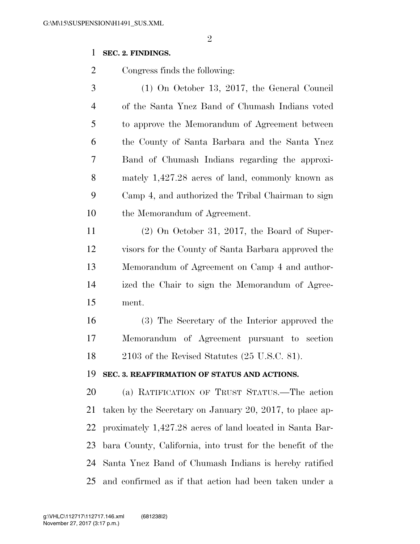### **SEC. 2. FINDINGS.**

Congress finds the following:

 (1) On October 13, 2017, the General Council of the Santa Ynez Band of Chumash Indians voted to approve the Memorandum of Agreement between the County of Santa Barbara and the Santa Ynez Band of Chumash Indians regarding the approxi- mately 1,427.28 acres of land, commonly known as Camp 4, and authorized the Tribal Chairman to sign the Memorandum of Agreement.

 (2) On October 31, 2017, the Board of Super- visors for the County of Santa Barbara approved the Memorandum of Agreement on Camp 4 and author- ized the Chair to sign the Memorandum of Agree-ment.

 (3) The Secretary of the Interior approved the Memorandum of Agreement pursuant to section 2103 of the Revised Statutes (25 U.S.C. 81).

#### **SEC. 3. REAFFIRMATION OF STATUS AND ACTIONS.**

 (a) RATIFICATION OF TRUST STATUS.—The action taken by the Secretary on January 20, 2017, to place ap- proximately 1,427.28 acres of land located in Santa Bar- bara County, California, into trust for the benefit of the Santa Ynez Band of Chumash Indians is hereby ratified and confirmed as if that action had been taken under a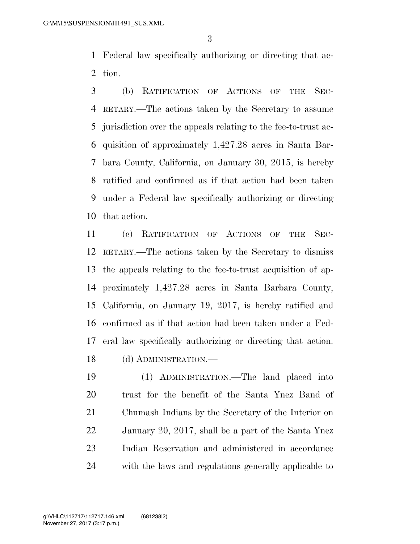Federal law specifically authorizing or directing that ac-tion.

 (b) RATIFICATION OF ACTIONS OF THE SEC- RETARY.—The actions taken by the Secretary to assume jurisdiction over the appeals relating to the fee-to-trust ac- quisition of approximately 1,427.28 acres in Santa Bar- bara County, California, on January 30, 2015, is hereby ratified and confirmed as if that action had been taken under a Federal law specifically authorizing or directing that action.

 (c) RATIFICATION OF ACTIONS OF THE SEC- RETARY.—The actions taken by the Secretary to dismiss the appeals relating to the fee-to-trust acquisition of ap- proximately 1,427.28 acres in Santa Barbara County, California, on January 19, 2017, is hereby ratified and confirmed as if that action had been taken under a Fed- eral law specifically authorizing or directing that action. (d) ADMINISTRATION.—

 (1) ADMINISTRATION.—The land placed into trust for the benefit of the Santa Ynez Band of Chumash Indians by the Secretary of the Interior on January 20, 2017, shall be a part of the Santa Ynez Indian Reservation and administered in accordance with the laws and regulations generally applicable to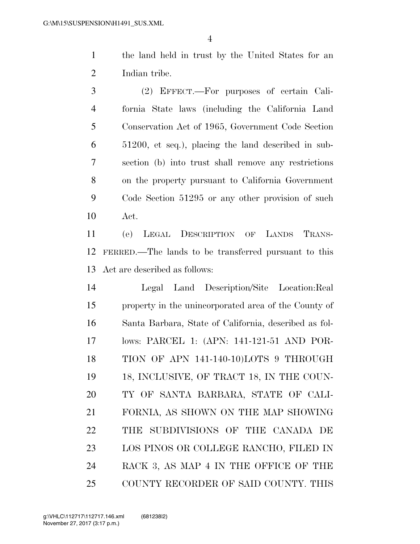the land held in trust by the United States for an Indian tribe.

 (2) EFFECT.—For purposes of certain Cali- fornia State laws (including the California Land Conservation Act of 1965, Government Code Section 51200, et seq.), placing the land described in sub- section (b) into trust shall remove any restrictions on the property pursuant to California Government Code Section 51295 or any other provision of such Act.

 (e) LEGAL DESCRIPTION OF LANDS TRANS- FERRED.—The lands to be transferred pursuant to this Act are described as follows:

 Legal Land Description/Site Location:Real property in the unincorporated area of the County of Santa Barbara, State of California, described as fol- lows: PARCEL 1: (APN: 141-121-51 AND POR- TION OF APN 141-140-10)LOTS 9 THROUGH 19 18, INCLUSIVE, OF TRACT 18, IN THE COUN- TY OF SANTA BARBARA, STATE OF CALI- FORNIA, AS SHOWN ON THE MAP SHOWING THE SUBDIVISIONS OF THE CANADA DE LOS PINOS OR COLLEGE RANCHO, FILED IN RACK 3, AS MAP 4 IN THE OFFICE OF THE COUNTY RECORDER OF SAID COUNTY. THIS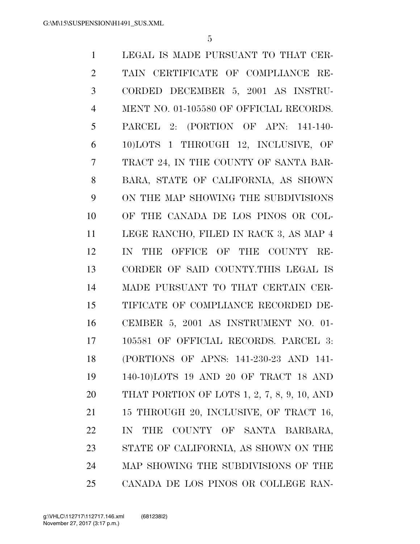LEGAL IS MADE PURSUANT TO THAT CER- TAIN CERTIFICATE OF COMPLIANCE RE- CORDED DECEMBER 5, 2001 AS INSTRU- MENT NO. 01-105580 OF OFFICIAL RECORDS. PARCEL 2: (PORTION OF APN: 141-140- 10)LOTS 1 THROUGH 12, INCLUSIVE, OF TRACT 24, IN THE COUNTY OF SANTA BAR- BARA, STATE OF CALIFORNIA, AS SHOWN ON THE MAP SHOWING THE SUBDIVISIONS OF THE CANADA DE LOS PINOS OR COL- LEGE RANCHO, FILED IN RACK 3, AS MAP 4 IN THE OFFICE OF THE COUNTY RE- CORDER OF SAID COUNTY.THIS LEGAL IS MADE PURSUANT TO THAT CERTAIN CER- TIFICATE OF COMPLIANCE RECORDED DE- CEMBER 5, 2001 AS INSTRUMENT NO. 01- 105581 OF OFFICIAL RECORDS. PARCEL 3: (PORTIONS OF APNS: 141-230-23 AND 141- 140-10)LOTS 19 AND 20 OF TRACT 18 AND THAT PORTION OF LOTS 1, 2, 7, 8, 9, 10, AND 15 THROUGH 20, INCLUSIVE, OF TRACT 16, IN THE COUNTY OF SANTA BARBARA, STATE OF CALIFORNIA, AS SHOWN ON THE MAP SHOWING THE SUBDIVISIONS OF THE CANADA DE LOS PINOS OR COLLEGE RAN-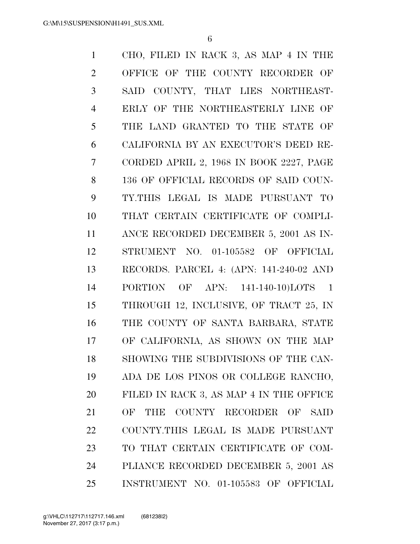CHO, FILED IN RACK 3, AS MAP 4 IN THE OFFICE OF THE COUNTY RECORDER OF SAID COUNTY, THAT LIES NORTHEAST- ERLY OF THE NORTHEASTERLY LINE OF THE LAND GRANTED TO THE STATE OF CALIFORNIA BY AN EXECUTOR'S DEED RE- CORDED APRIL 2, 1968 IN BOOK 2227, PAGE 136 OF OFFICIAL RECORDS OF SAID COUN- TY.THIS LEGAL IS MADE PURSUANT TO THAT CERTAIN CERTIFICATE OF COMPLI- ANCE RECORDED DECEMBER 5, 2001 AS IN- STRUMENT NO. 01-105582 OF OFFICIAL RECORDS. PARCEL 4: (APN: 141-240-02 AND PORTION OF APN: 141-140-10)LOTS 1 THROUGH 12, INCLUSIVE, OF TRACT 25, IN THE COUNTY OF SANTA BARBARA, STATE OF CALIFORNIA, AS SHOWN ON THE MAP SHOWING THE SUBDIVISIONS OF THE CAN- ADA DE LOS PINOS OR COLLEGE RANCHO, FILED IN RACK 3, AS MAP 4 IN THE OFFICE OF THE COUNTY RECORDER OF SAID COUNTY.THIS LEGAL IS MADE PURSUANT TO THAT CERTAIN CERTIFICATE OF COM- PLIANCE RECORDED DECEMBER 5, 2001 AS INSTRUMENT NO. 01-105583 OF OFFICIAL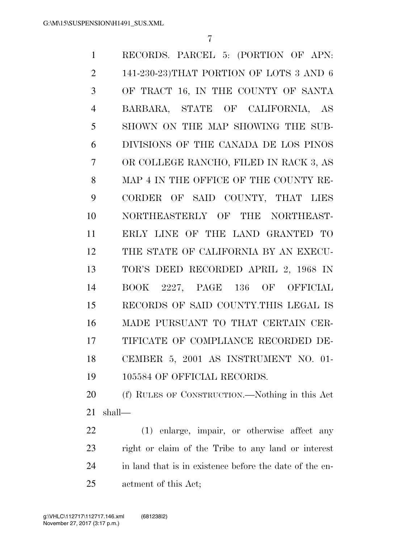RECORDS. PARCEL 5: (PORTION OF APN: 141-230-23)THAT PORTION OF LOTS 3 AND 6 OF TRACT 16, IN THE COUNTY OF SANTA BARBARA, STATE OF CALIFORNIA, AS SHOWN ON THE MAP SHOWING THE SUB- DIVISIONS OF THE CANADA DE LOS PINOS OR COLLEGE RANCHO, FILED IN RACK 3, AS MAP 4 IN THE OFFICE OF THE COUNTY RE- CORDER OF SAID COUNTY, THAT LIES NORTHEASTERLY OF THE NORTHEAST- ERLY LINE OF THE LAND GRANTED TO THE STATE OF CALIFORNIA BY AN EXECU- TOR'S DEED RECORDED APRIL 2, 1968 IN BOOK 2227, PAGE 136 OF OFFICIAL RECORDS OF SAID COUNTY.THIS LEGAL IS MADE PURSUANT TO THAT CERTAIN CER- TIFICATE OF COMPLIANCE RECORDED DE- CEMBER 5, 2001 AS INSTRUMENT NO. 01- 19 105584 OF OFFICIAL RECORDS.

 (f) RULES OF CONSTRUCTION.—Nothing in this Act shall—

 (1) enlarge, impair, or otherwise affect any right or claim of the Tribe to any land or interest in land that is in existence before the date of the en-actment of this Act;